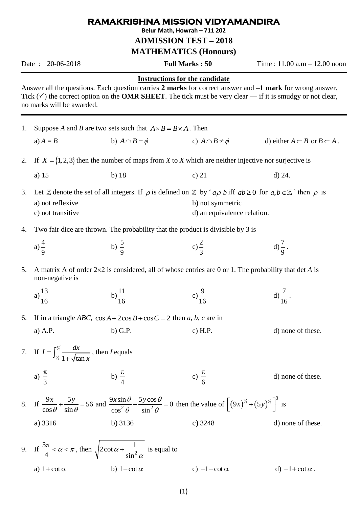## **RAMAKRISHNA MISSION VIDYAMANDIRA**

**Belur Math, Howrah – 711 202**

**ADMISSION TEST – 2018**

**MATHEMATICS (Honours)**

Date : 20-06-2018 **Full Marks : 50** Time : 11.00 a.m – 12.00 noon

## **Instructions for the candidate**

Answer all the questions. Each question carries **2 marks** for correct answer and **–1 mark** for wrong answer. Tick  $(\checkmark)$  the correct option on the **OMR SHEET**. The tick must be very clear — if it is smudgy or not clear, no marks will be awarded.

| 1. | Suppose A and B are two sets such that $A \times B = B \times A$ . Then                                                                                                                     |                                                                                                                                |                                                 |                                                |
|----|---------------------------------------------------------------------------------------------------------------------------------------------------------------------------------------------|--------------------------------------------------------------------------------------------------------------------------------|-------------------------------------------------|------------------------------------------------|
|    | a) $A = B$                                                                                                                                                                                  | b) $A \cap B = \phi$                                                                                                           | c) $A \cap B \neq \phi$                         | d) either $A \subseteq B$ or $B \subseteq A$ . |
| 2. | If $X = \{1, 2, 3\}$ then the number of maps from X to X which are neither injective nor surjective is                                                                                      |                                                                                                                                |                                                 |                                                |
|    | a) 15                                                                                                                                                                                       | $b)$ 18                                                                                                                        | c) $21$                                         | $d)$ 24.                                       |
| 3. | a) not reflexive<br>c) not transitive                                                                                                                                                       | Let Z denote the set of all integers. If $\rho$ is defined on Z by 'ap b iff ab $\geq 0$ for a, $b \in \mathbb{Z}$ ' then p is | b) not symmetric<br>d) an equivalence relation. |                                                |
| 4. | Two fair dice are thrown. The probability that the product is divisible by 3 is                                                                                                             |                                                                                                                                |                                                 |                                                |
|    | a) $\frac{4}{9}$                                                                                                                                                                            | b) $\frac{5}{9}$                                                                                                               | $(c) \frac{2}{3}$                               | $d)\frac{7}{9}$ .                              |
| 5. | A matrix A of order $2\times 2$ is considered, all of whose entries are 0 or 1. The probability that det A is<br>non-negative is                                                            |                                                                                                                                |                                                 |                                                |
|    | a) $\frac{13}{16}$                                                                                                                                                                          | b) $\frac{11}{16}$                                                                                                             | c) $\frac{9}{16}$                               | d) $\frac{7}{16}$ .                            |
| 6. | If in a triangle <i>ABC</i> , $\cos A + 2\cos B + \cos C = 2$ then a, b, c are in                                                                                                           |                                                                                                                                |                                                 |                                                |
|    | a) A.P.                                                                                                                                                                                     | $b)$ G.P.                                                                                                                      | c) $H.P.$                                       | d) none of these.                              |
|    | 7. If $I = \int_{\frac{\pi}{6}}^{\frac{\pi}{3}} \frac{dx}{1 + \sqrt{\tan x}}$ , then I equals                                                                                               |                                                                                                                                |                                                 |                                                |
|    | a) $\frac{\pi}{3}$                                                                                                                                                                          | b) $\frac{\pi}{4}$                                                                                                             | c) $\frac{\pi}{6}$                              | d) none of these.                              |
|    | 8. If $\frac{9x}{\cos\theta} + \frac{5y}{\sin\theta} = 56$ and $\frac{9x\sin\theta}{\cos^2\theta} - \frac{5y\cos\theta}{\sin^2\theta} = 0$ then the value of $[(9x)^{3/2} + (5y)^{3/2}]$ is |                                                                                                                                |                                                 |                                                |
|    | a) 3316                                                                                                                                                                                     | $b)$ 3136                                                                                                                      | c) $3248$                                       | d) none of these.                              |
|    | 9. If $\frac{3\pi}{4} < \alpha < \pi$ , then $\sqrt{2\cot\alpha + \frac{1}{\sin^2\alpha}}$ is equal to                                                                                      |                                                                                                                                |                                                 |                                                |
|    | a) $1 + \cot \alpha$                                                                                                                                                                        | b) $1-\cot \alpha$                                                                                                             | c) $-1$ - cot $\alpha$                          | d) $-1+\cot\alpha$ .                           |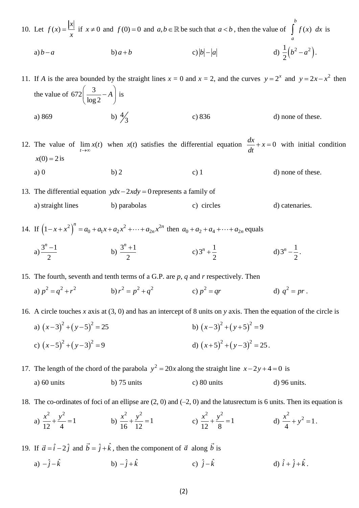10. Let 
$$
f(x) = \frac{|x|}{x}
$$
 if  $x \neq 0$  and  $f(0) = 0$  and  $a, b \in \mathbb{R}$  be such that  $a < b$ , then the value of  $\int_{a}^{b} f(x) dx$  is  
\na)  $b-a$  b)  $a+b$  c)  $|b|-|a|$  d)  $\frac{1}{2}(b^2 - a^2)$ .

11. If *A* is the area bounded by the straight lines  $x = 0$  and  $x = 2$ , and the curves  $y = 2^x$  and  $y = 2x - x^2$  then the value of 672 $\left(\frac{3}{1}\right)$  $\left(\frac{3}{\log 2} - A\right)$  i  $\begin{pmatrix} \log 2 \end{pmatrix}$  $A \mid$  is a) 869 4 3 c) 836 d) none of these.

12. The value of  $\lim_{t\to\infty} x(t)$  when  $x(t)$  satisfies the differential equation  $\frac{dx}{dt} + x = 0$ *dt*  $+x=0$  with initial condition  $x(0) = 2$  is a) 0 b) 2 c) 1 d) none of these.

13. The differential equation  $ydx - 2xdy = 0$  represents a family of a) straight lines b) parabolas c) circles d) catenaries.

14. If  $(1-x+x^2)^n = a_0 + a_1x + a_2x^2 + \dots + a_{2n}x^2$  $(1-x+x^2)^n = a_0 + a_1x + a_2x^2 + \dots + a_{2n}x^{2n}$  $(-x + x^2)^n = a_0 + a_1x + a_2x^2 + \dots + a_{2n}x^{2n}$  then  $a_0 + a_2 + a_4 + \dots + a_{2n}$  equals a)  $\frac{3^n - 1}{2}$ 2 *n* b)  $\frac{3^n + 1}{2}$ 2  $n +$ c)  $3^n + \frac{1}{2}$ 2  $n +$ d)  $3^n - \frac{1}{3}$ 2  $n-\frac{1}{2}$ .

15. The fourth, seventh and tenth terms of a G.P. are *p*, *q* and *r* respectively. Then

a) 
$$
p^2 = q^2 + r^2
$$
   
b)  $r^2 = p^2 + q^2$    
c)  $p^2 = qr$    
d)  $q^2 = pr$ .

16. A circle touches *x* axis at (3, 0) and has an intercept of 8 units on *y* axis. Then the equation of the circle is

a)  $(x-3)^2 + (y-5)^2 = 25$ b)  $(x-3)^2 + (y+5)^2 = 9$ c)  $(x-5)^2 + (y-3)^2 = 9$ d)  $(x+5)^2 + (y-3)^2 = 25$ .

17. The length of the chord of the parabola  $y^2 = 20x$  along the straight line  $x - 2y + 4 = 0$  is

- a) 60 units b) 75 units c) 80 units d) 96 units.
- 18. The co-ordinates of foci of an ellipse are (2, 0) and (–2, 0) and the latusrectum is 6 units. Then its equation is

a) 
$$
\frac{x^2}{12} + \frac{y^2}{4} = 1
$$
   
b)  $\frac{x^2}{16} + \frac{y^2}{12} = 1$    
c)  $\frac{x^2}{12} + \frac{y^2}{8} = 1$    
d)  $\frac{x^2}{4} + y^2 = 1$ .

19. If  $\vec{a} = \hat{i} - 2\hat{j}$  and  $\vec{b} = \hat{j} + \hat{k}$ , then the component of  $\vec{a}$  along  $\vec{b}$  is

a)  $-\hat{j}-\hat{k}$ b)  $-\hat{j}+\hat{k}$ c)  $\hat{j} - \hat{k}$  d)  $\hat{i} + \hat{j} + \hat{k}$ .